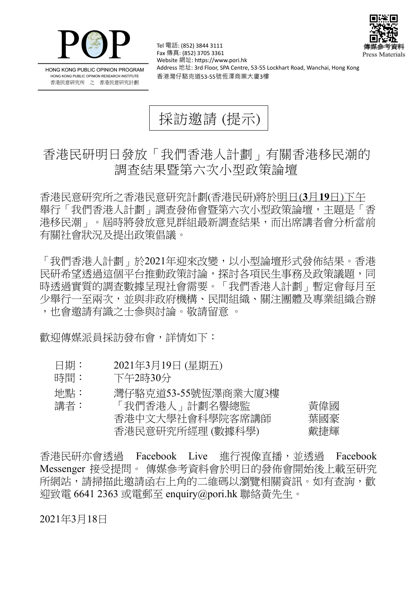



HONG KONG PUBLIC OPINION PROGRAM HONG KONG PUBLIC OPINION RESEARCH INSTITUTE 香港民意研究所 之 香港民意研究計劃

Tel 電話: (852) 3844 3111 Fax 傳真: (852) 3705 3361 Website 網址: https://www.pori.hk Address 地址: 3rd Floor, SPA Centre, 53-55 Lockhart Road, Wanchai, Hong Kong 香港灣仔駱克道53-55號恆澤商業大廈3樓

採訪邀請 (提示)

## 香港民研明日發放「我們香港人計劃」有關香港移民潮的 調查結果暨第六次小型政策論壇

香 港 民 意 研 究 所 之 香 港 民 意 研 究 計 劃 (香 港 民 研)將 於 明日(**3** 月**19** 日)下午 舉行「我們香港人計劃」調查發佈會暨第六次小型政策論壇,主題是「香 港移民潮 | 。 屆時將發放意見群組最新調查結果, 而出席講者會分析當前 有關社會狀況及提出政策倡議。

「我 們 香 港 人 計 劃」 於 2021 年 迎 來 改 變 , 以 小 型 論 壇 形 式 發 佈 結 果。 香 港 民研希望透過這個平台推動政策討論,探討各項民生事務及政策議題,同 時透過實質的調查數據呈現社會需要。「我們香港人計劃」暫定會每月至 少舉行一至兩次,並與非政府機構、民間組織、關注團體及專業組織合辦 ,也會激請有識之士參與討論。敬請留意 。

歡 須 傳 媒 派 員 採 訪 發 布 會 , 詳 情 如 下 :

- 日期: 2021年3月19日 (星期五)
- 時間: 下午2時30分
- 地點: 灣仔駱克道53-55號 海澤商業大廈3樓

| 講者: | 「我們香港人」計劃名譽總監    | 黃偉國 |
|-----|------------------|-----|
|     | 香港中文大學社會科學院客席講師  | 葉國豪 |
|     | 香港民意研究所經理 (數據科學) | 戴捷輝 |

香港民研亦會诱過 Facebook Live 淮行視像直播,並诱過 Facebook Messenger 接受提問。 傳媒參考資料會於明日的發佈會開始後上載至研究 所網站, 請掃描此激請函右上角的二維碼以瀏覽相關資訊。如有杳詢, 歡 迎致電 6641 2363 或電郵至 enquiry@pori.hk 聯絡黃先生。

2021年3月18日